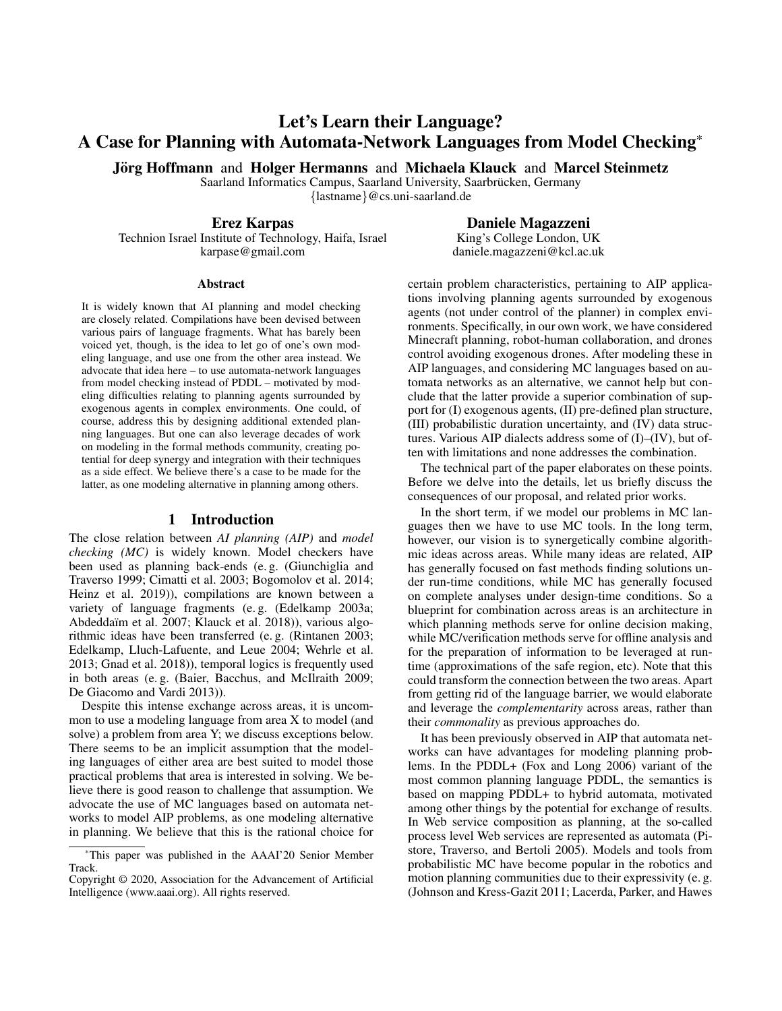# Let's Learn their Language? A Case for Planning with Automata-Network Languages from Model Checking\*

Jörg Hoffmann and Holger Hermanns and Michaela Klauck and Marcel Steinmetz

Saarland Informatics Campus, Saarland University, Saarbrücken, Germany

{lastname}@cs.uni-saarland.de

# Erez Karpas

Technion Israel Institute of Technology, Haifa, Israel karpase@gmail.com

# Daniele Magazzeni

King's College London, UK daniele.magazzeni@kcl.ac.uk

### Abstract

It is widely known that AI planning and model checking are closely related. Compilations have been devised between various pairs of language fragments. What has barely been voiced yet, though, is the idea to let go of one's own modeling language, and use one from the other area instead. We advocate that idea here – to use automata-network languages from model checking instead of PDDL – motivated by modeling difficulties relating to planning agents surrounded by exogenous agents in complex environments. One could, of course, address this by designing additional extended planning languages. But one can also leverage decades of work on modeling in the formal methods community, creating potential for deep synergy and integration with their techniques as a side effect. We believe there's a case to be made for the latter, as one modeling alternative in planning among others.

### 1 Introduction

The close relation between *AI planning (AIP)* and *model checking (MC)* is widely known. Model checkers have been used as planning back-ends (e. g. (Giunchiglia and Traverso 1999; Cimatti et al. 2003; Bogomolov et al. 2014; Heinz et al. 2019)), compilations are known between a variety of language fragments (e. g. (Edelkamp 2003a; Abdeddaïm et al. 2007; Klauck et al. 2018)), various algorithmic ideas have been transferred (e. g. (Rintanen 2003; Edelkamp, Lluch-Lafuente, and Leue 2004; Wehrle et al. 2013; Gnad et al. 2018)), temporal logics is frequently used in both areas (e. g. (Baier, Bacchus, and McIlraith 2009; De Giacomo and Vardi 2013)).

Despite this intense exchange across areas, it is uncommon to use a modeling language from area X to model (and solve) a problem from area Y; we discuss exceptions below. There seems to be an implicit assumption that the modeling languages of either area are best suited to model those practical problems that area is interested in solving. We believe there is good reason to challenge that assumption. We advocate the use of MC languages based on automata networks to model AIP problems, as one modeling alternative in planning. We believe that this is the rational choice for

certain problem characteristics, pertaining to AIP applications involving planning agents surrounded by exogenous agents (not under control of the planner) in complex environments. Specifically, in our own work, we have considered Minecraft planning, robot-human collaboration, and drones control avoiding exogenous drones. After modeling these in AIP languages, and considering MC languages based on automata networks as an alternative, we cannot help but conclude that the latter provide a superior combination of support for (I) exogenous agents, (II) pre-defined plan structure, (III) probabilistic duration uncertainty, and (IV) data structures. Various AIP dialects address some of (I)–(IV), but often with limitations and none addresses the combination.

The technical part of the paper elaborates on these points. Before we delve into the details, let us briefly discuss the consequences of our proposal, and related prior works.

In the short term, if we model our problems in MC languages then we have to use MC tools. In the long term, however, our vision is to synergetically combine algorithmic ideas across areas. While many ideas are related, AIP has generally focused on fast methods finding solutions under run-time conditions, while MC has generally focused on complete analyses under design-time conditions. So a blueprint for combination across areas is an architecture in which planning methods serve for online decision making, while MC/verification methods serve for offline analysis and for the preparation of information to be leveraged at runtime (approximations of the safe region, etc). Note that this could transform the connection between the two areas. Apart from getting rid of the language barrier, we would elaborate and leverage the *complementarity* across areas, rather than their *commonality* as previous approaches do.

It has been previously observed in AIP that automata networks can have advantages for modeling planning problems. In the PDDL+ (Fox and Long 2006) variant of the most common planning language PDDL, the semantics is based on mapping PDDL+ to hybrid automata, motivated among other things by the potential for exchange of results. In Web service composition as planning, at the so-called process level Web services are represented as automata (Pistore, Traverso, and Bertoli 2005). Models and tools from probabilistic MC have become popular in the robotics and motion planning communities due to their expressivity (e. g. (Johnson and Kress-Gazit 2011; Lacerda, Parker, and Hawes

<sup>\*</sup>This paper was published in the AAAI'20 Senior Member Track.

Copyright © 2020, Association for the Advancement of Artificial Intelligence (www.aaai.org). All rights reserved.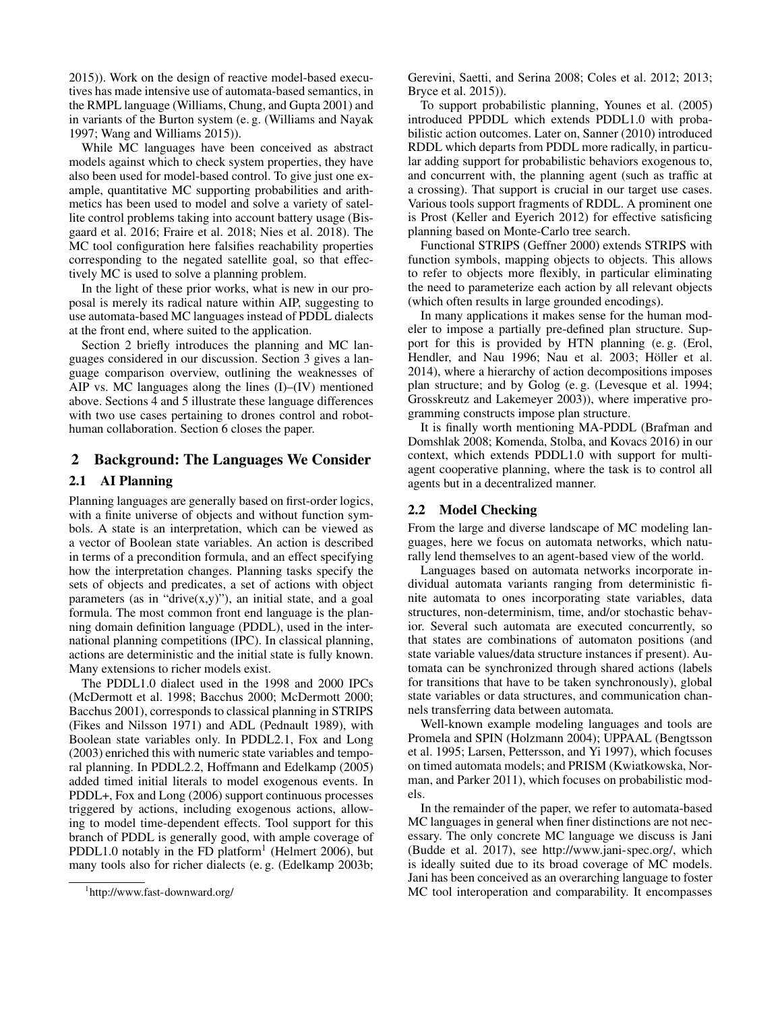2015)). Work on the design of reactive model-based executives has made intensive use of automata-based semantics, in the RMPL language (Williams, Chung, and Gupta 2001) and in variants of the Burton system (e. g. (Williams and Nayak 1997; Wang and Williams 2015)).

While MC languages have been conceived as abstract models against which to check system properties, they have also been used for model-based control. To give just one example, quantitative MC supporting probabilities and arithmetics has been used to model and solve a variety of satellite control problems taking into account battery usage (Bisgaard et al. 2016; Fraire et al. 2018; Nies et al. 2018). The MC tool configuration here falsifies reachability properties corresponding to the negated satellite goal, so that effectively MC is used to solve a planning problem.

In the light of these prior works, what is new in our proposal is merely its radical nature within AIP, suggesting to use automata-based MC languages instead of PDDL dialects at the front end, where suited to the application.

Section 2 briefly introduces the planning and MC languages considered in our discussion. Section 3 gives a language comparison overview, outlining the weaknesses of AIP vs. MC languages along the lines (I)–(IV) mentioned above. Sections 4 and 5 illustrate these language differences with two use cases pertaining to drones control and robothuman collaboration. Section 6 closes the paper.

# 2 Background: The Languages We Consider

# 2.1 AI Planning

Planning languages are generally based on first-order logics, with a finite universe of objects and without function symbols. A state is an interpretation, which can be viewed as a vector of Boolean state variables. An action is described in terms of a precondition formula, and an effect specifying how the interpretation changes. Planning tasks specify the sets of objects and predicates, a set of actions with object parameters (as in "drive $(x,y)$ "), an initial state, and a goal formula. The most common front end language is the planning domain definition language (PDDL), used in the international planning competitions (IPC). In classical planning, actions are deterministic and the initial state is fully known. Many extensions to richer models exist.

The PDDL1.0 dialect used in the 1998 and 2000 IPCs (McDermott et al. 1998; Bacchus 2000; McDermott 2000; Bacchus 2001), corresponds to classical planning in STRIPS (Fikes and Nilsson 1971) and ADL (Pednault 1989), with Boolean state variables only. In PDDL2.1, Fox and Long (2003) enriched this with numeric state variables and temporal planning. In PDDL2.2, Hoffmann and Edelkamp (2005) added timed initial literals to model exogenous events. In PDDL+, Fox and Long (2006) support continuous processes triggered by actions, including exogenous actions, allowing to model time-dependent effects. Tool support for this branch of PDDL is generally good, with ample coverage of PDDL1.0 notably in the FD platform<sup>1</sup> (Helmert 2006), but many tools also for richer dialects (e. g. (Edelkamp 2003b;

Gerevini, Saetti, and Serina 2008; Coles et al. 2012; 2013; Bryce et al. 2015)).

To support probabilistic planning, Younes et al. (2005) introduced PPDDL which extends PDDL1.0 with probabilistic action outcomes. Later on, Sanner (2010) introduced RDDL which departs from PDDL more radically, in particular adding support for probabilistic behaviors exogenous to, and concurrent with, the planning agent (such as traffic at a crossing). That support is crucial in our target use cases. Various tools support fragments of RDDL. A prominent one is Prost (Keller and Eyerich 2012) for effective satisficing planning based on Monte-Carlo tree search.

Functional STRIPS (Geffner 2000) extends STRIPS with function symbols, mapping objects to objects. This allows to refer to objects more flexibly, in particular eliminating the need to parameterize each action by all relevant objects (which often results in large grounded encodings).

In many applications it makes sense for the human modeler to impose a partially pre-defined plan structure. Support for this is provided by HTN planning (e. g. (Erol, Hendler, and Nau 1996; Nau et al. 2003; Höller et al. 2014), where a hierarchy of action decompositions imposes plan structure; and by Golog (e. g. (Levesque et al. 1994; Grosskreutz and Lakemeyer 2003)), where imperative programming constructs impose plan structure.

It is finally worth mentioning MA-PDDL (Brafman and Domshlak 2008; Komenda, Stolba, and Kovacs 2016) in our context, which extends PDDL1.0 with support for multiagent cooperative planning, where the task is to control all agents but in a decentralized manner.

# 2.2 Model Checking

From the large and diverse landscape of MC modeling languages, here we focus on automata networks, which naturally lend themselves to an agent-based view of the world.

Languages based on automata networks incorporate individual automata variants ranging from deterministic finite automata to ones incorporating state variables, data structures, non-determinism, time, and/or stochastic behavior. Several such automata are executed concurrently, so that states are combinations of automaton positions (and state variable values/data structure instances if present). Automata can be synchronized through shared actions (labels for transitions that have to be taken synchronously), global state variables or data structures, and communication channels transferring data between automata.

Well-known example modeling languages and tools are Promela and SPIN (Holzmann 2004); UPPAAL (Bengtsson et al. 1995; Larsen, Pettersson, and Yi 1997), which focuses on timed automata models; and PRISM (Kwiatkowska, Norman, and Parker 2011), which focuses on probabilistic models.

In the remainder of the paper, we refer to automata-based MC languages in general when finer distinctions are not necessary. The only concrete MC language we discuss is Jani (Budde et al. 2017), see http://www.jani-spec.org/, which is ideally suited due to its broad coverage of MC models. Jani has been conceived as an overarching language to foster MC tool interoperation and comparability. It encompasses

<sup>1</sup> http://www.fast-downward.org/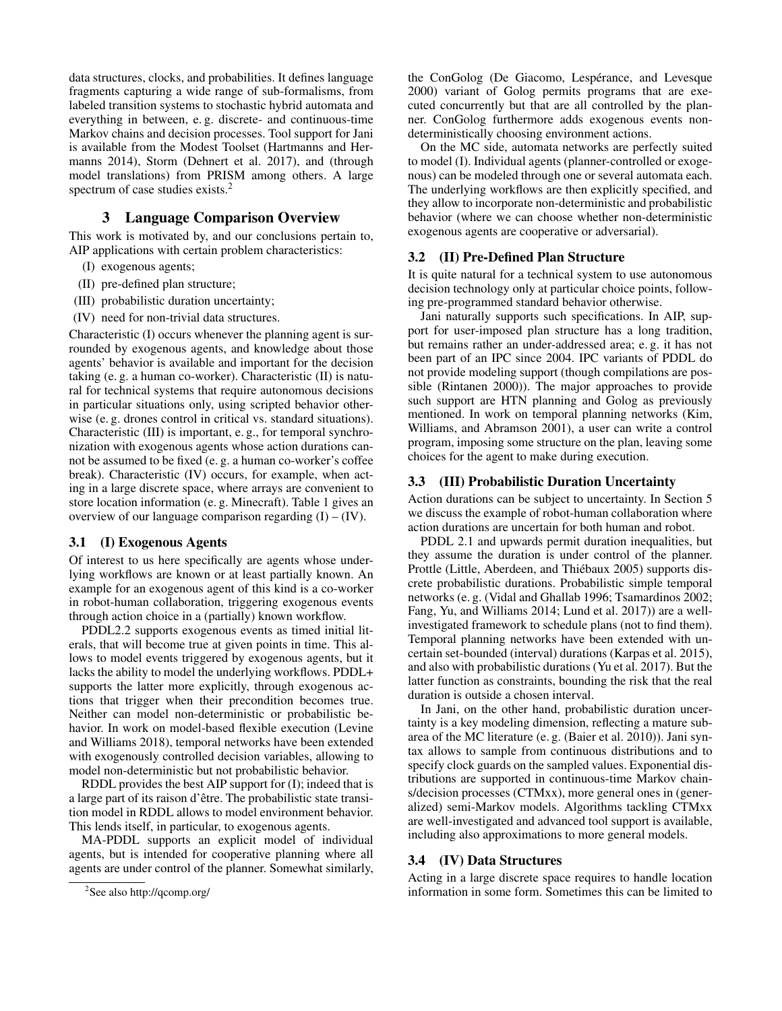data structures, clocks, and probabilities. It defines language fragments capturing a wide range of sub-formalisms, from labeled transition systems to stochastic hybrid automata and everything in between, e. g. discrete- and continuous-time Markov chains and decision processes. Tool support for Jani is available from the Modest Toolset (Hartmanns and Hermanns 2014), Storm (Dehnert et al. 2017), and (through model translations) from PRISM among others. A large spectrum of case studies exists.<sup>2</sup>

# 3 Language Comparison Overview

This work is motivated by, and our conclusions pertain to, AIP applications with certain problem characteristics:

- (I) exogenous agents;
- (II) pre-defined plan structure;
- (III) probabilistic duration uncertainty;
- (IV) need for non-trivial data structures.

Characteristic (I) occurs whenever the planning agent is surrounded by exogenous agents, and knowledge about those agents' behavior is available and important for the decision taking (e. g. a human co-worker). Characteristic (II) is natural for technical systems that require autonomous decisions in particular situations only, using scripted behavior otherwise (e. g. drones control in critical vs. standard situations). Characteristic (III) is important, e. g., for temporal synchronization with exogenous agents whose action durations cannot be assumed to be fixed (e. g. a human co-worker's coffee break). Characteristic (IV) occurs, for example, when acting in a large discrete space, where arrays are convenient to store location information (e. g. Minecraft). Table 1 gives an overview of our language comparison regarding  $(I) - (IV)$ .

#### 3.1 (I) Exogenous Agents

Of interest to us here specifically are agents whose underlying workflows are known or at least partially known. An example for an exogenous agent of this kind is a co-worker in robot-human collaboration, triggering exogenous events through action choice in a (partially) known workflow.

PDDL2.2 supports exogenous events as timed initial literals, that will become true at given points in time. This allows to model events triggered by exogenous agents, but it lacks the ability to model the underlying workflows. PDDL+ supports the latter more explicitly, through exogenous actions that trigger when their precondition becomes true. Neither can model non-deterministic or probabilistic behavior. In work on model-based flexible execution (Levine and Williams 2018), temporal networks have been extended with exogenously controlled decision variables, allowing to model non-deterministic but not probabilistic behavior.

RDDL provides the best AIP support for (I); indeed that is a large part of its raison d'etre. The probabilistic state transi- ˆ tion model in RDDL allows to model environment behavior. This lends itself, in particular, to exogenous agents.

MA-PDDL supports an explicit model of individual agents, but is intended for cooperative planning where all agents are under control of the planner. Somewhat similarly, the ConGolog (De Giacomo, Lespérance, and Levesque 2000) variant of Golog permits programs that are executed concurrently but that are all controlled by the planner. ConGolog furthermore adds exogenous events nondeterministically choosing environment actions.

On the MC side, automata networks are perfectly suited to model (I). Individual agents (planner-controlled or exogenous) can be modeled through one or several automata each. The underlying workflows are then explicitly specified, and they allow to incorporate non-deterministic and probabilistic behavior (where we can choose whether non-deterministic exogenous agents are cooperative or adversarial).

### 3.2 (II) Pre-Defined Plan Structure

It is quite natural for a technical system to use autonomous decision technology only at particular choice points, following pre-programmed standard behavior otherwise.

Jani naturally supports such specifications. In AIP, support for user-imposed plan structure has a long tradition, but remains rather an under-addressed area; e. g. it has not been part of an IPC since 2004. IPC variants of PDDL do not provide modeling support (though compilations are possible (Rintanen 2000)). The major approaches to provide such support are HTN planning and Golog as previously mentioned. In work on temporal planning networks (Kim, Williams, and Abramson 2001), a user can write a control program, imposing some structure on the plan, leaving some choices for the agent to make during execution.

### 3.3 (III) Probabilistic Duration Uncertainty

Action durations can be subject to uncertainty. In Section 5 we discuss the example of robot-human collaboration where action durations are uncertain for both human and robot.

PDDL 2.1 and upwards permit duration inequalities, but they assume the duration is under control of the planner. Prottle (Little, Aberdeen, and Thiébaux 2005) supports discrete probabilistic durations. Probabilistic simple temporal networks (e. g. (Vidal and Ghallab 1996; Tsamardinos 2002; Fang, Yu, and Williams 2014; Lund et al. 2017)) are a wellinvestigated framework to schedule plans (not to find them). Temporal planning networks have been extended with uncertain set-bounded (interval) durations (Karpas et al. 2015), and also with probabilistic durations (Yu et al. 2017). But the latter function as constraints, bounding the risk that the real duration is outside a chosen interval.

In Jani, on the other hand, probabilistic duration uncertainty is a key modeling dimension, reflecting a mature subarea of the MC literature (e. g. (Baier et al. 2010)). Jani syntax allows to sample from continuous distributions and to specify clock guards on the sampled values. Exponential distributions are supported in continuous-time Markov chains/decision processes (CTMxx), more general ones in (generalized) semi-Markov models. Algorithms tackling CTMxx are well-investigated and advanced tool support is available, including also approximations to more general models.

# 3.4 (IV) Data Structures

Acting in a large discrete space requires to handle location information in some form. Sometimes this can be limited to

<sup>2</sup> See also http://qcomp.org/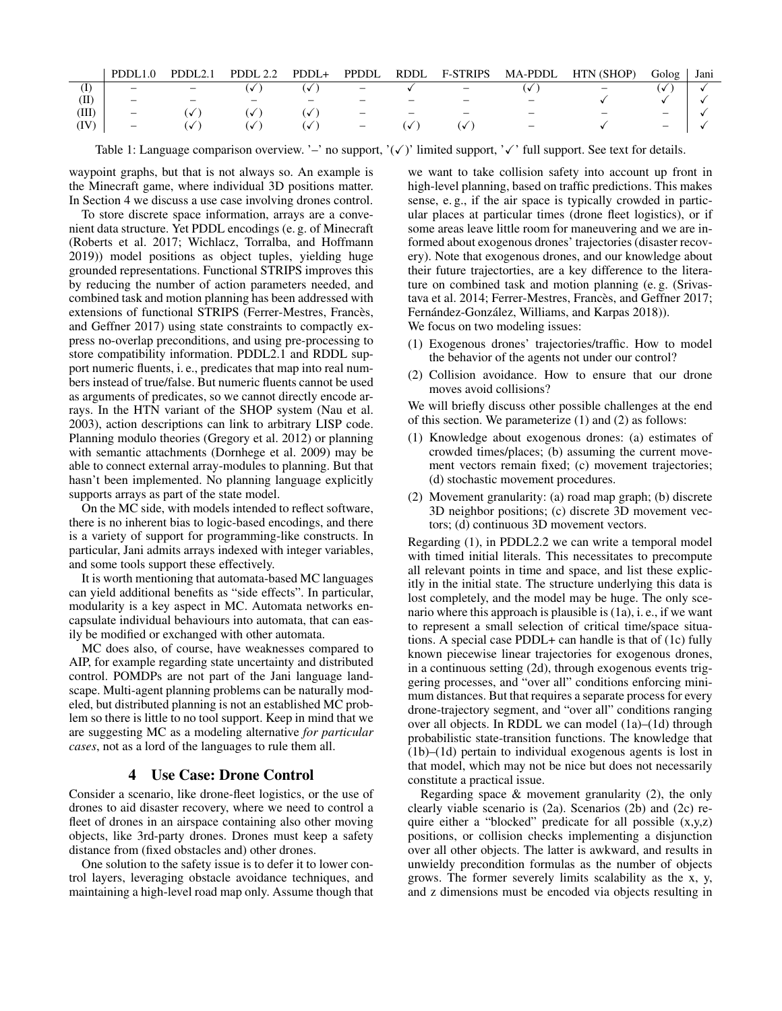|       | PDDL1.0                  | PDDI $21$                | PDDL 2.2 | $PDDL+$ | PPDDL                    | RDDL       | <b>F-STRIPS</b> | MA-PDDL                  | HTN (SHOP)               | Golog                    | Jani |
|-------|--------------------------|--------------------------|----------|---------|--------------------------|------------|-----------------|--------------------------|--------------------------|--------------------------|------|
| (I)   | $\overline{\phantom{m}}$ | $\overline{\phantom{0}}$ |          |         | <b>Contract Contract</b> |            | $\sim$          |                          | $\overline{\phantom{0}}$ |                          |      |
| (II)  | –                        | $\overline{\phantom{0}}$ |          |         |                          |            |                 |                          |                          |                          |      |
| (III) | $\overline{\phantom{0}}$ |                          |          |         | $\overline{\phantom{a}}$ |            |                 |                          |                          | $\overline{\phantom{m}}$ |      |
| (IV)  | $\overline{\phantom{a}}$ | $\cdot$                  |          |         | $\overline{\phantom{a}}$ | $\sqrt{ }$ |                 | $\overline{\phantom{a}}$ |                          | $\overline{\phantom{m}}$ |      |

Table 1: Language comparison overview. '–' no support, ' $(\checkmark)$ ' limited support, ' $\checkmark$ ' full support. See text for details.

waypoint graphs, but that is not always so. An example is the Minecraft game, where individual 3D positions matter. In Section 4 we discuss a use case involving drones control.

To store discrete space information, arrays are a convenient data structure. Yet PDDL encodings (e. g. of Minecraft (Roberts et al. 2017; Wichlacz, Torralba, and Hoffmann 2019)) model positions as object tuples, yielding huge grounded representations. Functional STRIPS improves this by reducing the number of action parameters needed, and combined task and motion planning has been addressed with extensions of functional STRIPS (Ferrer-Mestres, Francès, and Geffner 2017) using state constraints to compactly express no-overlap preconditions, and using pre-processing to store compatibility information. PDDL2.1 and RDDL support numeric fluents, i. e., predicates that map into real numbers instead of true/false. But numeric fluents cannot be used as arguments of predicates, so we cannot directly encode arrays. In the HTN variant of the SHOP system (Nau et al. 2003), action descriptions can link to arbitrary LISP code. Planning modulo theories (Gregory et al. 2012) or planning with semantic attachments (Dornhege et al. 2009) may be able to connect external array-modules to planning. But that hasn't been implemented. No planning language explicitly supports arrays as part of the state model.

On the MC side, with models intended to reflect software, there is no inherent bias to logic-based encodings, and there is a variety of support for programming-like constructs. In particular, Jani admits arrays indexed with integer variables, and some tools support these effectively.

It is worth mentioning that automata-based MC languages can yield additional benefits as "side effects". In particular, modularity is a key aspect in MC. Automata networks encapsulate individual behaviours into automata, that can easily be modified or exchanged with other automata.

MC does also, of course, have weaknesses compared to AIP, for example regarding state uncertainty and distributed control. POMDPs are not part of the Jani language landscape. Multi-agent planning problems can be naturally modeled, but distributed planning is not an established MC problem so there is little to no tool support. Keep in mind that we are suggesting MC as a modeling alternative *for particular cases*, not as a lord of the languages to rule them all.

# 4 Use Case: Drone Control

Consider a scenario, like drone-fleet logistics, or the use of drones to aid disaster recovery, where we need to control a fleet of drones in an airspace containing also other moving objects, like 3rd-party drones. Drones must keep a safety distance from (fixed obstacles and) other drones.

One solution to the safety issue is to defer it to lower control layers, leveraging obstacle avoidance techniques, and maintaining a high-level road map only. Assume though that

we want to take collision safety into account up front in high-level planning, based on traffic predictions. This makes sense, e. g., if the air space is typically crowded in particular places at particular times (drone fleet logistics), or if some areas leave little room for maneuvering and we are informed about exogenous drones' trajectories (disaster recovery). Note that exogenous drones, and our knowledge about their future trajectorties, are a key difference to the literature on combined task and motion planning (e. g. (Srivastava et al. 2014; Ferrer-Mestres, Francès, and Geffner 2017; Fernández-González, Williams, and Karpas 2018). We focus on two modeling issues:

(1) Exogenous drones' trajectories/traffic. How to model the behavior of the agents not under our control?

(2) Collision avoidance. How to ensure that our drone moves avoid collisions?

We will briefly discuss other possible challenges at the end of this section. We parameterize (1) and (2) as follows:

- (1) Knowledge about exogenous drones: (a) estimates of crowded times/places; (b) assuming the current movement vectors remain fixed; (c) movement trajectories; (d) stochastic movement procedures.
- (2) Movement granularity: (a) road map graph; (b) discrete 3D neighbor positions; (c) discrete 3D movement vectors; (d) continuous 3D movement vectors.

Regarding (1), in PDDL2.2 we can write a temporal model with timed initial literals. This necessitates to precompute all relevant points in time and space, and list these explicitly in the initial state. The structure underlying this data is lost completely, and the model may be huge. The only scenario where this approach is plausible is (1a), i. e., if we want to represent a small selection of critical time/space situations. A special case PDDL+ can handle is that of (1c) fully known piecewise linear trajectories for exogenous drones, in a continuous setting (2d), through exogenous events triggering processes, and "over all" conditions enforcing minimum distances. But that requires a separate process for every drone-trajectory segment, and "over all" conditions ranging over all objects. In RDDL we can model (1a)–(1d) through probabilistic state-transition functions. The knowledge that (1b)–(1d) pertain to individual exogenous agents is lost in that model, which may not be nice but does not necessarily constitute a practical issue.

Regarding space  $\&$  movement granularity (2), the only clearly viable scenario is (2a). Scenarios (2b) and (2c) require either a "blocked" predicate for all possible  $(x,y,z)$ positions, or collision checks implementing a disjunction over all other objects. The latter is awkward, and results in unwieldy precondition formulas as the number of objects grows. The former severely limits scalability as the x, y, and z dimensions must be encoded via objects resulting in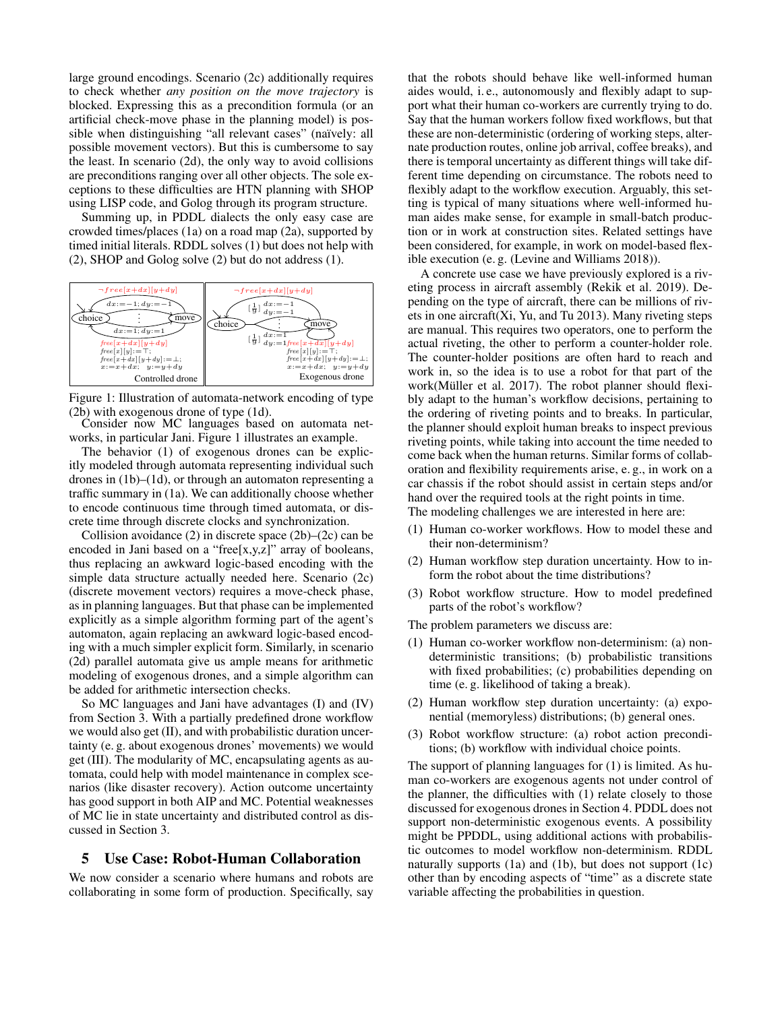large ground encodings. Scenario (2c) additionally requires to check whether *any position on the move trajectory* is blocked. Expressing this as a precondition formula (or an artificial check-move phase in the planning model) is possible when distinguishing "all relevant cases" (naïvely: all possible movement vectors). But this is cumbersome to say the least. In scenario (2d), the only way to avoid collisions are preconditions ranging over all other objects. The sole exceptions to these difficulties are HTN planning with SHOP using LISP code, and Golog through its program structure.

Summing up, in PDDL dialects the only easy case are crowded times/places (1a) on a road map (2a), supported by timed initial literals. RDDL solves (1) but does not help with (2), SHOP and Golog solve (2) but do not address (1).



Figure 1: Illustration of automata-network encoding of type (2b) with exogenous drone of type (1d).

Consider now MC languages based on automata networks, in particular Jani. Figure 1 illustrates an example.

The behavior (1) of exogenous drones can be explicitly modeled through automata representing individual such drones in (1b)–(1d), or through an automaton representing a traffic summary in (1a). We can additionally choose whether to encode continuous time through timed automata, or discrete time through discrete clocks and synchronization.

Collision avoidance (2) in discrete space (2b)–(2c) can be encoded in Jani based on a "free[x,y,z]" array of booleans, thus replacing an awkward logic-based encoding with the simple data structure actually needed here. Scenario (2c) (discrete movement vectors) requires a move-check phase, as in planning languages. But that phase can be implemented explicitly as a simple algorithm forming part of the agent's automaton, again replacing an awkward logic-based encoding with a much simpler explicit form. Similarly, in scenario (2d) parallel automata give us ample means for arithmetic modeling of exogenous drones, and a simple algorithm can be added for arithmetic intersection checks.

So MC languages and Jani have advantages (I) and (IV) from Section 3. With a partially predefined drone workflow we would also get (II), and with probabilistic duration uncertainty (e. g. about exogenous drones' movements) we would get (III). The modularity of MC, encapsulating agents as automata, could help with model maintenance in complex scenarios (like disaster recovery). Action outcome uncertainty has good support in both AIP and MC. Potential weaknesses of MC lie in state uncertainty and distributed control as discussed in Section 3.

# 5 Use Case: Robot-Human Collaboration

We now consider a scenario where humans and robots are collaborating in some form of production. Specifically, say

that the robots should behave like well-informed human aides would, i. e., autonomously and flexibly adapt to support what their human co-workers are currently trying to do. Say that the human workers follow fixed workflows, but that these are non-deterministic (ordering of working steps, alternate production routes, online job arrival, coffee breaks), and there is temporal uncertainty as different things will take different time depending on circumstance. The robots need to flexibly adapt to the workflow execution. Arguably, this setting is typical of many situations where well-informed human aides make sense, for example in small-batch production or in work at construction sites. Related settings have been considered, for example, in work on model-based flexible execution (e. g. (Levine and Williams 2018)).

A concrete use case we have previously explored is a riveting process in aircraft assembly (Rekik et al. 2019). Depending on the type of aircraft, there can be millions of rivets in one aircraft(Xi, Yu, and Tu 2013). Many riveting steps are manual. This requires two operators, one to perform the actual riveting, the other to perform a counter-holder role. The counter-holder positions are often hard to reach and work in, so the idea is to use a robot for that part of the work(Müller et al. 2017). The robot planner should flexibly adapt to the human's workflow decisions, pertaining to the ordering of riveting points and to breaks. In particular, the planner should exploit human breaks to inspect previous riveting points, while taking into account the time needed to come back when the human returns. Similar forms of collaboration and flexibility requirements arise, e. g., in work on a car chassis if the robot should assist in certain steps and/or hand over the required tools at the right points in time.

The modeling challenges we are interested in here are:

- (1) Human co-worker workflows. How to model these and their non-determinism?
- (2) Human workflow step duration uncertainty. How to inform the robot about the time distributions?
- (3) Robot workflow structure. How to model predefined parts of the robot's workflow?

The problem parameters we discuss are:

- (1) Human co-worker workflow non-determinism: (a) nondeterministic transitions; (b) probabilistic transitions with fixed probabilities; (c) probabilities depending on time (e. g. likelihood of taking a break).
- (2) Human workflow step duration uncertainty: (a) exponential (memoryless) distributions; (b) general ones.
- (3) Robot workflow structure: (a) robot action preconditions; (b) workflow with individual choice points.

The support of planning languages for (1) is limited. As human co-workers are exogenous agents not under control of the planner, the difficulties with (1) relate closely to those discussed for exogenous drones in Section 4. PDDL does not support non-deterministic exogenous events. A possibility might be PPDDL, using additional actions with probabilistic outcomes to model workflow non-determinism. RDDL naturally supports (1a) and (1b), but does not support (1c) other than by encoding aspects of "time" as a discrete state variable affecting the probabilities in question.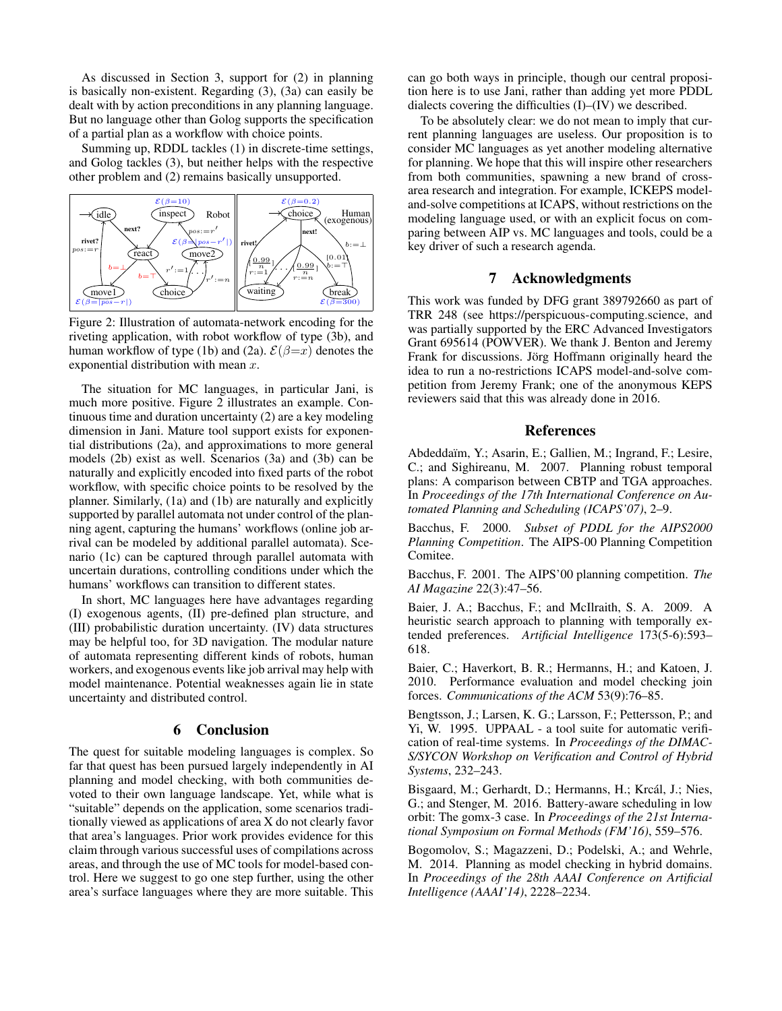As discussed in Section 3, support for (2) in planning is basically non-existent. Regarding (3), (3a) can easily be dealt with by action preconditions in any planning language. But no language other than Golog supports the specification of a partial plan as a workflow with choice points.

Summing up, RDDL tackles (1) in discrete-time settings, and Golog tackles (3), but neither helps with the respective other problem and (2) remains basically unsupported.



Figure 2: Illustration of automata-network encoding for the riveting application, with robot workflow of type (3b), and human workflow of type (1b) and (2a).  $\mathcal{E}(\beta=x)$  denotes the exponential distribution with mean  $x$ .

The situation for MC languages, in particular Jani, is much more positive. Figure 2 illustrates an example. Continuous time and duration uncertainty (2) are a key modeling dimension in Jani. Mature tool support exists for exponential distributions (2a), and approximations to more general models (2b) exist as well. Scenarios (3a) and (3b) can be naturally and explicitly encoded into fixed parts of the robot workflow, with specific choice points to be resolved by the planner. Similarly, (1a) and (1b) are naturally and explicitly supported by parallel automata not under control of the planning agent, capturing the humans' workflows (online job arrival can be modeled by additional parallel automata). Scenario (1c) can be captured through parallel automata with uncertain durations, controlling conditions under which the humans' workflows can transition to different states.

In short, MC languages here have advantages regarding (I) exogenous agents, (II) pre-defined plan structure, and (III) probabilistic duration uncertainty. (IV) data structures may be helpful too, for 3D navigation. The modular nature of automata representing different kinds of robots, human workers, and exogenous events like job arrival may help with model maintenance. Potential weaknesses again lie in state uncertainty and distributed control.

# 6 Conclusion

The quest for suitable modeling languages is complex. So far that quest has been pursued largely independently in AI planning and model checking, with both communities devoted to their own language landscape. Yet, while what is "suitable" depends on the application, some scenarios traditionally viewed as applications of area X do not clearly favor that area's languages. Prior work provides evidence for this claim through various successful uses of compilations across areas, and through the use of MC tools for model-based control. Here we suggest to go one step further, using the other area's surface languages where they are more suitable. This

can go both ways in principle, though our central proposition here is to use Jani, rather than adding yet more PDDL dialects covering the difficulties (I)–(IV) we described.

To be absolutely clear: we do not mean to imply that current planning languages are useless. Our proposition is to consider MC languages as yet another modeling alternative for planning. We hope that this will inspire other researchers from both communities, spawning a new brand of crossarea research and integration. For example, ICKEPS modeland-solve competitions at ICAPS, without restrictions on the modeling language used, or with an explicit focus on comparing between AIP vs. MC languages and tools, could be a key driver of such a research agenda.

# 7 Acknowledgments

This work was funded by DFG grant 389792660 as part of TRR 248 (see https://perspicuous-computing.science, and was partially supported by the ERC Advanced Investigators Grant 695614 (POWVER). We thank J. Benton and Jeremy Frank for discussions. Jörg Hoffmann originally heard the idea to run a no-restrictions ICAPS model-and-solve competition from Jeremy Frank; one of the anonymous KEPS reviewers said that this was already done in 2016.

## References

Abdeddaïm, Y.; Asarin, E.; Gallien, M.; Ingrand, F.; Lesire, C.; and Sighireanu, M. 2007. Planning robust temporal plans: A comparison between CBTP and TGA approaches. In *Proceedings of the 17th International Conference on Automated Planning and Scheduling (ICAPS'07)*, 2–9.

Bacchus, F. 2000. *Subset of PDDL for the AIPS2000 Planning Competition*. The AIPS-00 Planning Competition Comitee.

Bacchus, F. 2001. The AIPS'00 planning competition. *The AI Magazine* 22(3):47–56.

Baier, J. A.; Bacchus, F.; and McIlraith, S. A. 2009. A heuristic search approach to planning with temporally extended preferences. *Artificial Intelligence* 173(5-6):593– 618.

Baier, C.; Haverkort, B. R.; Hermanns, H.; and Katoen, J. 2010. Performance evaluation and model checking join forces. *Communications of the ACM* 53(9):76–85.

Bengtsson, J.; Larsen, K. G.; Larsson, F.; Pettersson, P.; and Yi, W. 1995. UPPAAL - a tool suite for automatic verification of real-time systems. In *Proceedings of the DIMAC-S/SYCON Workshop on Verification and Control of Hybrid Systems*, 232–243.

Bisgaard, M.; Gerhardt, D.; Hermanns, H.; Krcál, J.; Nies, G.; and Stenger, M. 2016. Battery-aware scheduling in low orbit: The gomx-3 case. In *Proceedings of the 21st International Symposium on Formal Methods (FM'16)*, 559–576.

Bogomolov, S.; Magazzeni, D.; Podelski, A.; and Wehrle, M. 2014. Planning as model checking in hybrid domains. In *Proceedings of the 28th AAAI Conference on Artificial Intelligence (AAAI'14)*, 2228–2234.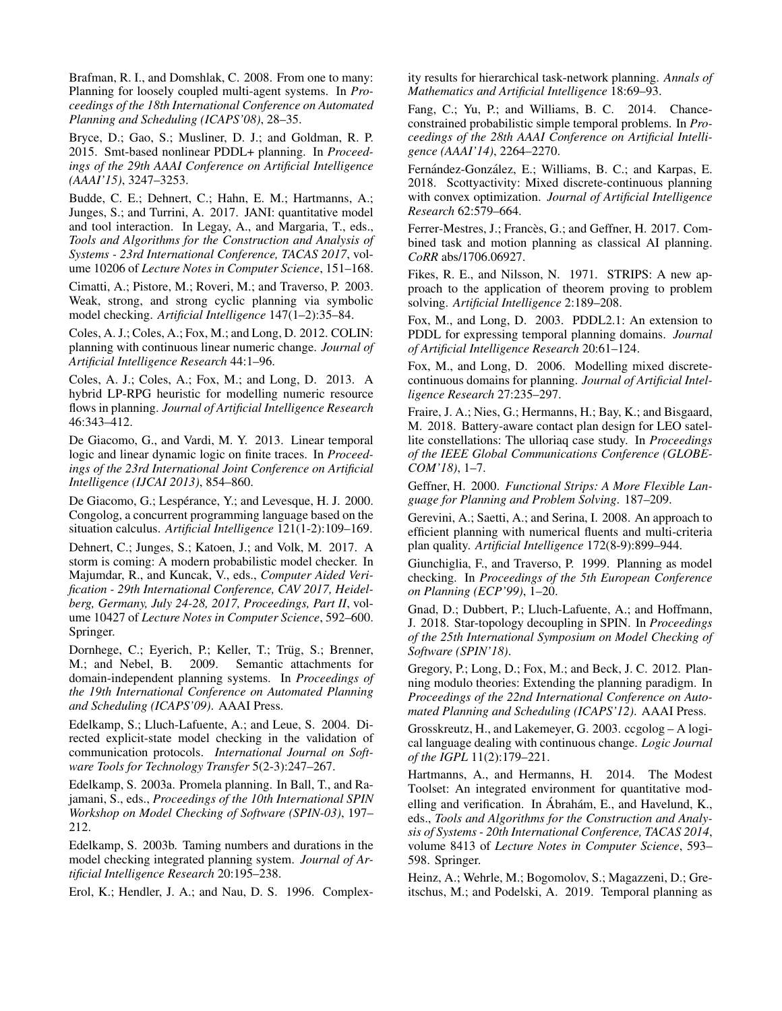Brafman, R. I., and Domshlak, C. 2008. From one to many: Planning for loosely coupled multi-agent systems. In *Proceedings of the 18th International Conference on Automated Planning and Scheduling (ICAPS'08)*, 28–35.

Bryce, D.; Gao, S.; Musliner, D. J.; and Goldman, R. P. 2015. Smt-based nonlinear PDDL+ planning. In *Proceedings of the 29th AAAI Conference on Artificial Intelligence (AAAI'15)*, 3247–3253.

Budde, C. E.; Dehnert, C.; Hahn, E. M.; Hartmanns, A.; Junges, S.; and Turrini, A. 2017. JANI: quantitative model and tool interaction. In Legay, A., and Margaria, T., eds., *Tools and Algorithms for the Construction and Analysis of Systems - 23rd International Conference, TACAS 2017*, volume 10206 of *Lecture Notes in Computer Science*, 151–168.

Cimatti, A.; Pistore, M.; Roveri, M.; and Traverso, P. 2003. Weak, strong, and strong cyclic planning via symbolic model checking. *Artificial Intelligence* 147(1–2):35–84.

Coles, A. J.; Coles, A.; Fox, M.; and Long, D. 2012. COLIN: planning with continuous linear numeric change. *Journal of Artificial Intelligence Research* 44:1–96.

Coles, A. J.; Coles, A.; Fox, M.; and Long, D. 2013. A hybrid LP-RPG heuristic for modelling numeric resource flows in planning. *Journal of Artificial Intelligence Research* 46:343–412.

De Giacomo, G., and Vardi, M. Y. 2013. Linear temporal logic and linear dynamic logic on finite traces. In *Proceedings of the 23rd International Joint Conference on Artificial Intelligence (IJCAI 2013)*, 854–860.

De Giacomo, G.; Lespérance, Y.; and Levesque, H. J. 2000. Congolog, a concurrent programming language based on the situation calculus. *Artificial Intelligence* 121(1-2):109–169.

Dehnert, C.; Junges, S.; Katoen, J.; and Volk, M. 2017. A storm is coming: A modern probabilistic model checker. In Majumdar, R., and Kuncak, V., eds., *Computer Aided Verification - 29th International Conference, CAV 2017, Heidelberg, Germany, July 24-28, 2017, Proceedings, Part II*, volume 10427 of *Lecture Notes in Computer Science*, 592–600. Springer.

Dornhege, C.; Eyerich, P.; Keller, T.; Trüg, S.; Brenner, M.; and Nebel, B. 2009. Semantic attachments for domain-independent planning systems. In *Proceedings of the 19th International Conference on Automated Planning and Scheduling (ICAPS'09)*. AAAI Press.

Edelkamp, S.; Lluch-Lafuente, A.; and Leue, S. 2004. Directed explicit-state model checking in the validation of communication protocols. *International Journal on Software Tools for Technology Transfer* 5(2-3):247–267.

Edelkamp, S. 2003a. Promela planning. In Ball, T., and Rajamani, S., eds., *Proceedings of the 10th International SPIN Workshop on Model Checking of Software (SPIN-03)*, 197– 212.

Edelkamp, S. 2003b. Taming numbers and durations in the model checking integrated planning system. *Journal of Artificial Intelligence Research* 20:195–238.

Erol, K.; Hendler, J. A.; and Nau, D. S. 1996. Complex-

ity results for hierarchical task-network planning. *Annals of Mathematics and Artificial Intelligence* 18:69–93.

Fang, C.; Yu, P.; and Williams, B. C. 2014. Chanceconstrained probabilistic simple temporal problems. In *Proceedings of the 28th AAAI Conference on Artificial Intelligence (AAAI'14)*, 2264–2270.

Fernández-González, E.; Williams, B. C.; and Karpas, E. 2018. Scottyactivity: Mixed discrete-continuous planning with convex optimization. *Journal of Artificial Intelligence Research* 62:579–664.

Ferrer-Mestres, J.; Francès, G.; and Geffner, H. 2017. Combined task and motion planning as classical AI planning. *CoRR* abs/1706.06927.

Fikes, R. E., and Nilsson, N. 1971. STRIPS: A new approach to the application of theorem proving to problem solving. *Artificial Intelligence* 2:189–208.

Fox, M., and Long, D. 2003. PDDL2.1: An extension to PDDL for expressing temporal planning domains. *Journal of Artificial Intelligence Research* 20:61–124.

Fox, M., and Long, D. 2006. Modelling mixed discretecontinuous domains for planning. *Journal of Artificial Intelligence Research* 27:235–297.

Fraire, J. A.; Nies, G.; Hermanns, H.; Bay, K.; and Bisgaard, M. 2018. Battery-aware contact plan design for LEO satellite constellations: The ulloriaq case study. In *Proceedings of the IEEE Global Communications Conference (GLOBE-COM'18)*, 1–7.

Geffner, H. 2000. *Functional Strips: A More Flexible Language for Planning and Problem Solving*. 187–209.

Gerevini, A.; Saetti, A.; and Serina, I. 2008. An approach to efficient planning with numerical fluents and multi-criteria plan quality. *Artificial Intelligence* 172(8-9):899–944.

Giunchiglia, F., and Traverso, P. 1999. Planning as model checking. In *Proceedings of the 5th European Conference on Planning (ECP'99)*, 1–20.

Gnad, D.; Dubbert, P.; Lluch-Lafuente, A.; and Hoffmann, J. 2018. Star-topology decoupling in SPIN. In *Proceedings of the 25th International Symposium on Model Checking of Software (SPIN'18)*.

Gregory, P.; Long, D.; Fox, M.; and Beck, J. C. 2012. Planning modulo theories: Extending the planning paradigm. In *Proceedings of the 22nd International Conference on Automated Planning and Scheduling (ICAPS'12)*. AAAI Press.

Grosskreutz, H., and Lakemeyer, G. 2003. ccgolog – A logical language dealing with continuous change. *Logic Journal of the IGPL* 11(2):179–221.

Hartmanns, A., and Hermanns, H. 2014. The Modest Toolset: An integrated environment for quantitative modelling and verification. In Ábrahám, E., and Havelund, K., eds., *Tools and Algorithms for the Construction and Analysis of Systems - 20th International Conference, TACAS 2014*, volume 8413 of *Lecture Notes in Computer Science*, 593– 598. Springer.

Heinz, A.; Wehrle, M.; Bogomolov, S.; Magazzeni, D.; Greitschus, M.; and Podelski, A. 2019. Temporal planning as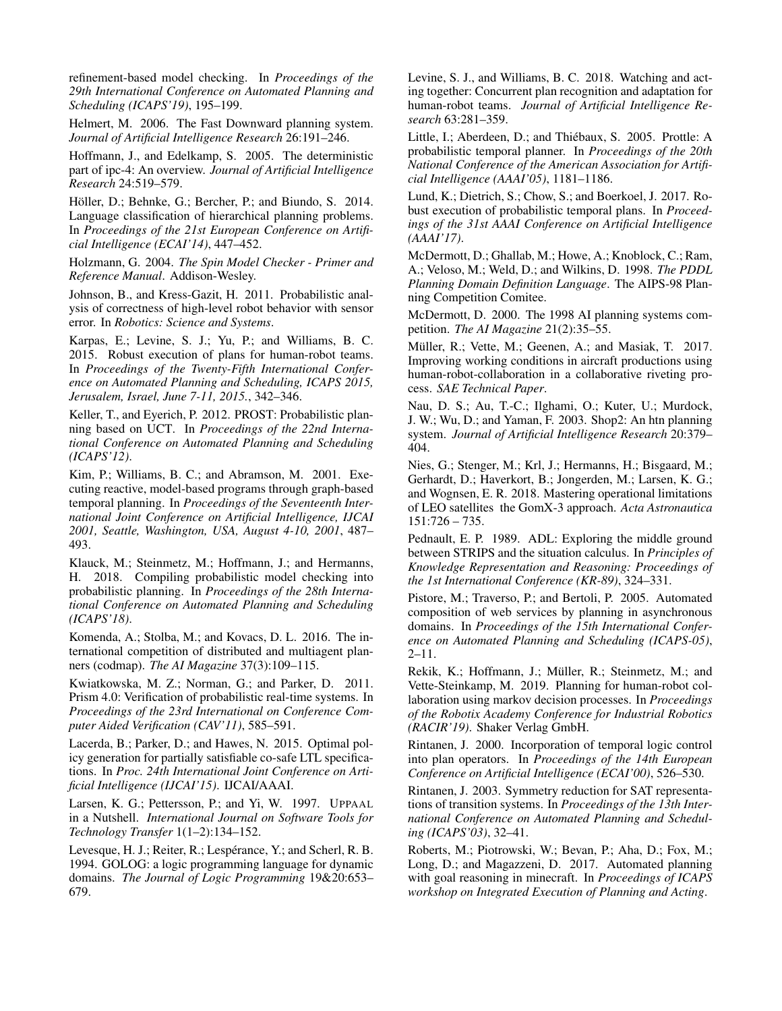refinement-based model checking. In *Proceedings of the 29th International Conference on Automated Planning and Scheduling (ICAPS'19)*, 195–199.

Helmert, M. 2006. The Fast Downward planning system. *Journal of Artificial Intelligence Research* 26:191–246.

Hoffmann, J., and Edelkamp, S. 2005. The deterministic part of ipc-4: An overview. *Journal of Artificial Intelligence Research* 24:519–579.

Höller, D.; Behnke, G.; Bercher, P.; and Biundo, S. 2014. Language classification of hierarchical planning problems. In *Proceedings of the 21st European Conference on Artificial Intelligence (ECAI'14)*, 447–452.

Holzmann, G. 2004. *The Spin Model Checker - Primer and Reference Manual*. Addison-Wesley.

Johnson, B., and Kress-Gazit, H. 2011. Probabilistic analysis of correctness of high-level robot behavior with sensor error. In *Robotics: Science and Systems*.

Karpas, E.; Levine, S. J.; Yu, P.; and Williams, B. C. 2015. Robust execution of plans for human-robot teams. In *Proceedings of the Twenty-Fifth International Conference on Automated Planning and Scheduling, ICAPS 2015, Jerusalem, Israel, June 7-11, 2015.*, 342–346.

Keller, T., and Eyerich, P. 2012. PROST: Probabilistic planning based on UCT. In *Proceedings of the 22nd International Conference on Automated Planning and Scheduling (ICAPS'12)*.

Kim, P.; Williams, B. C.; and Abramson, M. 2001. Executing reactive, model-based programs through graph-based temporal planning. In *Proceedings of the Seventeenth International Joint Conference on Artificial Intelligence, IJCAI 2001, Seattle, Washington, USA, August 4-10, 2001*, 487– 493.

Klauck, M.; Steinmetz, M.; Hoffmann, J.; and Hermanns, H. 2018. Compiling probabilistic model checking into probabilistic planning. In *Proceedings of the 28th International Conference on Automated Planning and Scheduling (ICAPS'18)*.

Komenda, A.; Stolba, M.; and Kovacs, D. L. 2016. The international competition of distributed and multiagent planners (codmap). *The AI Magazine* 37(3):109–115.

Kwiatkowska, M. Z.; Norman, G.; and Parker, D. 2011. Prism 4.0: Verification of probabilistic real-time systems. In *Proceedings of the 23rd International on Conference Computer Aided Verification (CAV'11)*, 585–591.

Lacerda, B.; Parker, D.; and Hawes, N. 2015. Optimal policy generation for partially satisfiable co-safe LTL specifications. In *Proc. 24th International Joint Conference on Artificial Intelligence (IJCAI'15)*. IJCAI/AAAI.

Larsen, K. G.; Pettersson, P.; and Yi, W. 1997. UPPAAL in a Nutshell. *International Journal on Software Tools for Technology Transfer* 1(1–2):134–152.

Levesque, H. J.; Reiter, R.; Lespérance, Y.; and Scherl, R. B. 1994. GOLOG: a logic programming language for dynamic domains. *The Journal of Logic Programming* 19&20:653– 679.

Levine, S. J., and Williams, B. C. 2018. Watching and acting together: Concurrent plan recognition and adaptation for human-robot teams. *Journal of Artificial Intelligence Research* 63:281–359.

Little, I.; Aberdeen, D.; and Thiébaux, S. 2005. Prottle: A probabilistic temporal planner. In *Proceedings of the 20th National Conference of the American Association for Artificial Intelligence (AAAI'05)*, 1181–1186.

Lund, K.; Dietrich, S.; Chow, S.; and Boerkoel, J. 2017. Robust execution of probabilistic temporal plans. In *Proceedings of the 31st AAAI Conference on Artificial Intelligence (AAAI'17)*.

McDermott, D.; Ghallab, M.; Howe, A.; Knoblock, C.; Ram, A.; Veloso, M.; Weld, D.; and Wilkins, D. 1998. *The PDDL Planning Domain Definition Language*. The AIPS-98 Planning Competition Comitee.

McDermott, D. 2000. The 1998 AI planning systems competition. *The AI Magazine* 21(2):35–55.

Müller, R.; Vette, M.; Geenen, A.; and Masiak, T. 2017. Improving working conditions in aircraft productions using human-robot-collaboration in a collaborative riveting process. *SAE Technical Paper*.

Nau, D. S.; Au, T.-C.; Ilghami, O.; Kuter, U.; Murdock, J. W.; Wu, D.; and Yaman, F. 2003. Shop2: An htn planning system. *Journal of Artificial Intelligence Research* 20:379– 404.

Nies, G.; Stenger, M.; Krl, J.; Hermanns, H.; Bisgaard, M.; Gerhardt, D.; Haverkort, B.; Jongerden, M.; Larsen, K. G.; and Wognsen, E. R. 2018. Mastering operational limitations of LEO satellites the GomX-3 approach. *Acta Astronautica* 151:726 – 735.

Pednault, E. P. 1989. ADL: Exploring the middle ground between STRIPS and the situation calculus. In *Principles of Knowledge Representation and Reasoning: Proceedings of the 1st International Conference (KR-89)*, 324–331.

Pistore, M.; Traverso, P.; and Bertoli, P. 2005. Automated composition of web services by planning in asynchronous domains. In *Proceedings of the 15th International Conference on Automated Planning and Scheduling (ICAPS-05)*, 2–11.

Rekik, K.; Hoffmann, J.; Müller, R.; Steinmetz, M.; and Vette-Steinkamp, M. 2019. Planning for human-robot collaboration using markov decision processes. In *Proceedings of the Robotix Academy Conference for Industrial Robotics (RACIR'19)*. Shaker Verlag GmbH.

Rintanen, J. 2000. Incorporation of temporal logic control into plan operators. In *Proceedings of the 14th European Conference on Artificial Intelligence (ECAI'00)*, 526–530.

Rintanen, J. 2003. Symmetry reduction for SAT representations of transition systems. In *Proceedings of the 13th International Conference on Automated Planning and Scheduling (ICAPS'03)*, 32–41.

Roberts, M.; Piotrowski, W.; Bevan, P.; Aha, D.; Fox, M.; Long, D.; and Magazzeni, D. 2017. Automated planning with goal reasoning in minecraft. In *Proceedings of ICAPS workshop on Integrated Execution of Planning and Acting*.